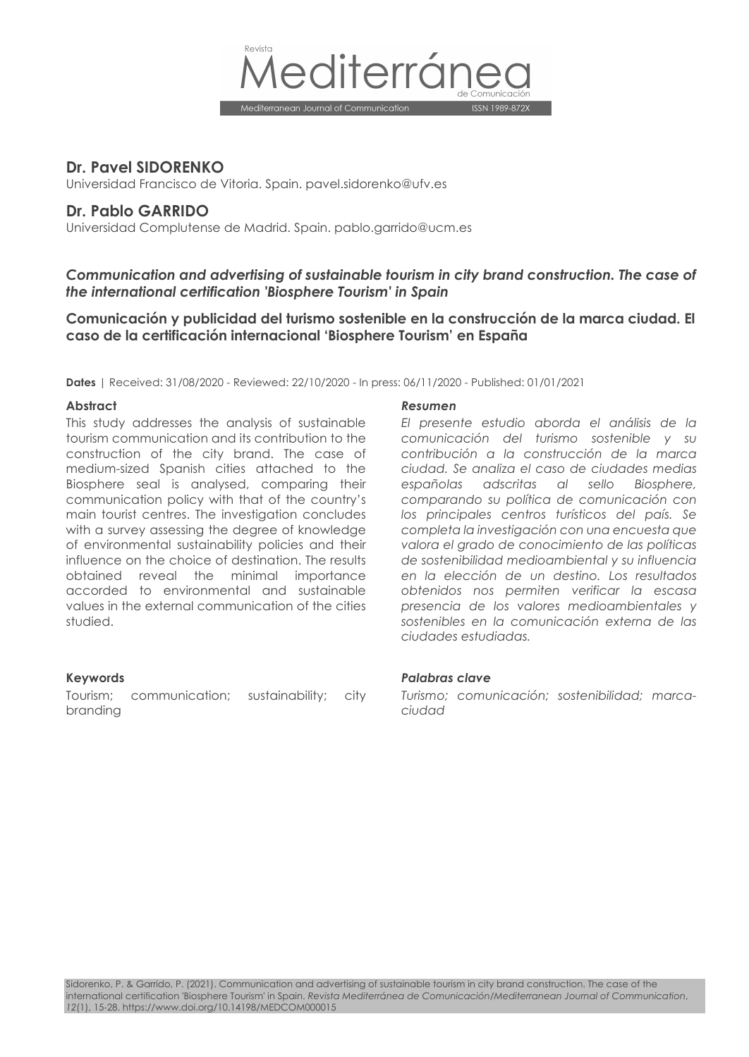

# **Dr. Pavel SIDORENKO**

Universidad Francisco de Vitoria. Spain. pavel.sidorenko@ufv.es

# **Dr. Pablo GARRIDO**

Universidad Complutense de Madrid. Spain. pablo.garrido@ucm.es

# *Communication and advertising of sustainable tourism in city brand construction. The case of the international certification 'Biosphere Tourism' in Spain*

**Comunicación y publicidad del turismo sostenible en la construcción de la marca ciudad. El caso de la certificación internacional 'Biosphere Tourism' en España**

**Dates** | Received: 31/08/2020 - Reviewed: 22/10/2020 - In press: 06/11/2020 - Published: 01/01/2021

This study addresses the analysis of sustainable tourism communication and its contribution to the construction of the city brand. The case of medium-sized Spanish cities attached to the Biosphere seal is analysed, comparing their communication policy with that of the country's main tourist centres. The investigation concludes with a survey assessing the degree of knowledge of environmental sustainability policies and their influence on the choice of destination. The results obtained reveal the minimal importance accorded to environmental and sustainable values in the external communication of the cities studied.

Tourism; communication; sustainability; city branding

#### **Abstract** *Resumen*

*El presente estudio aborda el análisis de la comunicación del turismo sostenible y su contribución a la construcción de la marca ciudad. Se analiza el caso de ciudades medias españolas adscritas al sello Biosphere, comparando su política de comunicación con los principales centros turísticos del país. Se completa la investigación con una encuesta que valora el grado de conocimiento de las políticas de sostenibilidad medioambiental y su influencia en la elección de un destino. Los resultados obtenidos nos permiten verificar la escasa presencia de los valores medioambientales y sostenibles en la comunicación externa de las ciudades estudiadas.*

#### **Keywords** *Palabras clave*

*Turismo; comunicación; sostenibilidad; marcaciudad*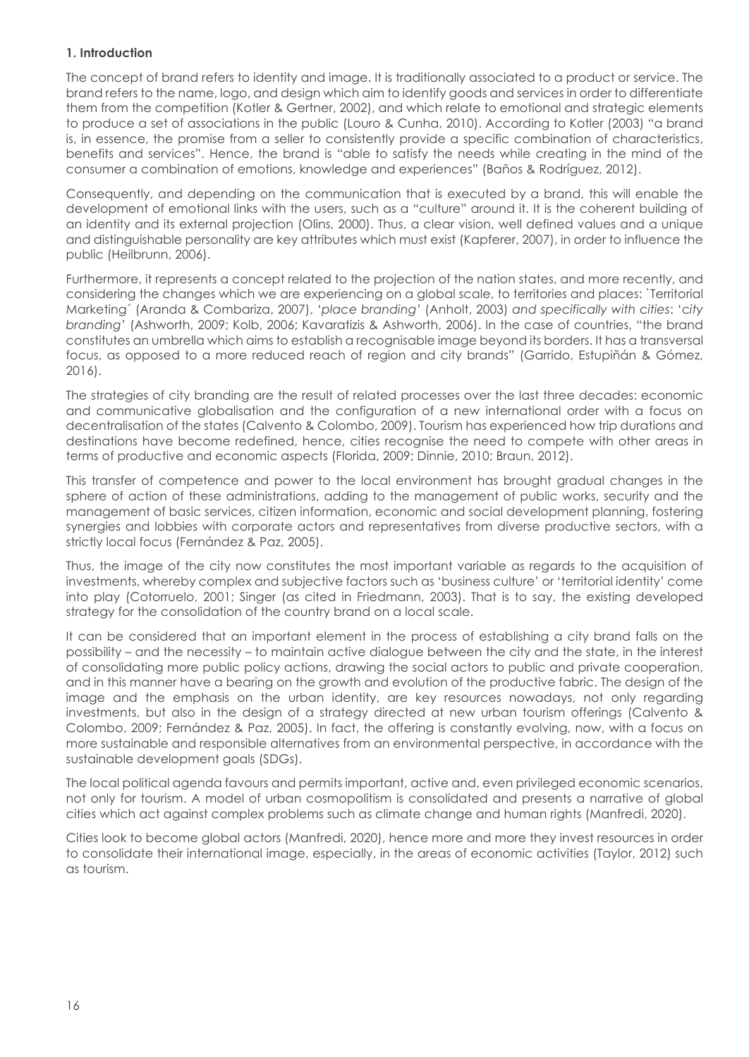# **1. Introduction**

The concept of brand refers to identity and image. It is traditionally associated to a product or service. The brand refers to the name, logo, and design which aim to identify goods and services in order to differentiate them from the competition (Kotler & Gertner, 2002), and which relate to emotional and strategic elements to produce a set of associations in the public (Louro & Cunha, 2010). According to Kotler (2003) "a brand is, in essence, the promise from a seller to consistently provide a specific combination of characteristics, benefits and services". Hence, the brand is "able to satisfy the needs while creating in the mind of the consumer a combination of emotions, knowledge and experiences" (Baños & Rodríguez, 2012).

Consequently, and depending on the communication that is executed by a brand, this will enable the development of emotional links with the users, such as a "culture" around it. It is the coherent building of an identity and its external projection (Olins, 2000). Thus, a clear vision, well defined values and a unique and distinguishable personality are key attributes which must exist (Kapferer, 2007), in order to influence the public (Heilbrunn, 2006).

Furthermore, it represents a concept related to the projection of the nation states, and more recently, and considering the changes which we are experiencing on a global scale, to territories and places: `Territorial Marketing´ (Aranda & Combariza, 2007), '*place branding'* (Anholt, 2003) *and specifically with cities*: 'c*ity branding*' (Ashworth, 2009; Kolb, 2006; Kavaratizis & Ashworth, 2006). In the case of countries, "the brand constitutes an umbrella which aims to establish a recognisable image beyond its borders. It has a transversal focus, as opposed to a more reduced reach of region and city brands" (Garrido, Estupiñán & Gómez, 2016).

The strategies of city branding are the result of related processes over the last three decades: economic and communicative globalisation and the configuration of a new international order with a focus on decentralisation of the states (Calvento & Colombo, 2009). Tourism has experienced how trip durations and destinations have become redefined, hence, cities recognise the need to compete with other areas in terms of productive and economic aspects (Florida, 2009; Dinnie, 2010; Braun, 2012).

This transfer of competence and power to the local environment has brought gradual changes in the sphere of action of these administrations, adding to the management of public works, security and the management of basic services, citizen information, economic and social development planning, fostering synergies and lobbies with corporate actors and representatives from diverse productive sectors, with a strictly local focus (Fernández & Paz, 2005).

Thus, the image of the city now constitutes the most important variable as regards to the acquisition of investments, whereby complex and subjective factors such as 'business culture' or 'territorial identity' come into play (Cotorruelo, 2001; Singer (as cited in Friedmann, 2003). That is to say, the existing developed strategy for the consolidation of the country brand on a local scale.

It can be considered that an important element in the process of establishing a city brand falls on the possibility – and the necessity – to maintain active dialogue between the city and the state, in the interest of consolidating more public policy actions, drawing the social actors to public and private cooperation, and in this manner have a bearing on the growth and evolution of the productive fabric. The design of the image and the emphasis on the urban identity, are key resources nowadays, not only regarding investments, but also in the design of a strategy directed at new urban tourism offerings (Calvento & Colombo, 2009; Fernández & Paz, 2005). In fact, the offering is constantly evolving, now, with a focus on more sustainable and responsible alternatives from an environmental perspective, in accordance with the sustainable development goals (SDGs).

The local political agenda favours and permits important, active and, even privileged economic scenarios, not only for tourism. A model of urban cosmopolitism is consolidated and presents a narrative of global cities which act against complex problems such as climate change and human rights (Manfredi, 2020).

Cities look to become global actors (Manfredi, 2020), hence more and more they invest resources in order to consolidate their international image, especially, in the areas of economic activities (Taylor, 2012) such as tourism.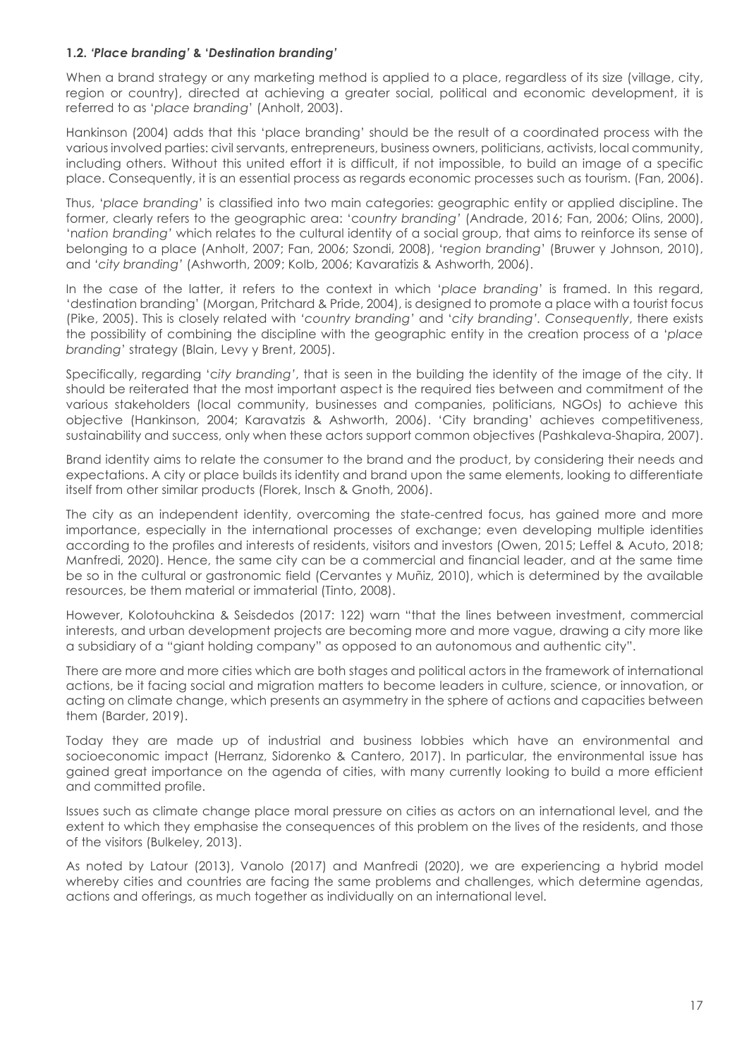#### **1.2.** *'Place branding'* **& '***Destination branding'*

When a brand strategy or any marketing method is applied to a place, regardless of its size (village, city, region or country), directed at achieving a greater social, political and economic development, it is referred to as '*place branding*' (Anholt, 2003).

Hankinson (2004) adds that this 'place branding' should be the result of a coordinated process with the various involved parties: civil servants, entrepreneurs, business owners, politicians, activists, local community, including others. Without this united effort it is difficult, if not impossible, to build an image of a specific place. Consequently, it is an essential process as regards economic processes such as tourism. (Fan, 2006).

Thus, '*place branding*' is classified into two main categories: geographic entity or applied discipline. The former, clearly refers to the geographic area: 'c*ountry branding'* (Andrade, 2016; Fan, 2006; Olins, 2000), 'n*ation branding'* which relates to the cultural identity of a social group, that aims to reinforce its sense of belonging to a place (Anholt, 2007; Fan, 2006; Szondi, 2008), 'r*egion branding*' (Bruwer y Johnson, 2010), and *'city branding'* (Ashworth, 2009; Kolb, 2006; Kavaratizis & Ashworth, 2006).

In the case of the latter, it refers to the context in which '*place branding*' is framed. In this regard, 'destination branding' (Morgan, Pritchard & Pride, 2004), is designed to promote a place with a tourist focus (Pike, 2005). This is closely related with *'country branding'* and '*city branding'. Consequently*, there exists the possibility of combining the discipline with the geographic entity in the creation process of a '*place branding*' strategy (Blain, Levy y Brent, 2005).

Specifically, regarding 'c*ity branding'*, that is seen in the building the identity of the image of the city. It should be reiterated that the most important aspect is the required ties between and commitment of the various stakeholders (local community, businesses and companies, politicians, NGOs) to achieve this objective (Hankinson, 2004; Karavatzis & Ashworth, 2006). 'City branding' achieves competitiveness, sustainability and success, only when these actors support common objectives (Pashkaleva-Shapira, 2007).

Brand identity aims to relate the consumer to the brand and the product, by considering their needs and expectations. A city or place builds its identity and brand upon the same elements, looking to differentiate itself from other similar products (Florek, Insch & Gnoth, 2006).

The city as an independent identity, overcoming the state-centred focus, has gained more and more importance, especially in the international processes of exchange; even developing multiple identities according to the profiles and interests of residents, visitors and investors (Owen, 2015; Leffel & Acuto, 2018; Manfredi, 2020). Hence, the same city can be a commercial and financial leader, and at the same time be so in the cultural or gastronomic field (Cervantes y Muñiz, 2010), which is determined by the available resources, be them material or immaterial (Tinto, 2008).

However, Kolotouhckina & Seisdedos (2017: 122) warn "that the lines between investment, commercial interests, and urban development projects are becoming more and more vague, drawing a city more like a subsidiary of a "giant holding company" as opposed to an autonomous and authentic city".

There are more and more cities which are both stages and political actors in the framework of international actions, be it facing social and migration matters to become leaders in culture, science, or innovation, or acting on climate change, which presents an asymmetry in the sphere of actions and capacities between them (Barder, 2019).

Today they are made up of industrial and business lobbies which have an environmental and socioeconomic impact (Herranz, Sidorenko & Cantero, 2017). In particular, the environmental issue has gained great importance on the agenda of cities, with many currently looking to build a more efficient and committed profile.

Issues such as climate change place moral pressure on cities as actors on an international level, and the extent to which they emphasise the consequences of this problem on the lives of the residents, and those of the visitors (Bulkeley, 2013).

As noted by Latour (2013), Vanolo (2017) and Manfredi (2020), we are experiencing a hybrid model whereby cities and countries are facing the same problems and challenges, which determine agendas, actions and offerings, as much together as individually on an international level.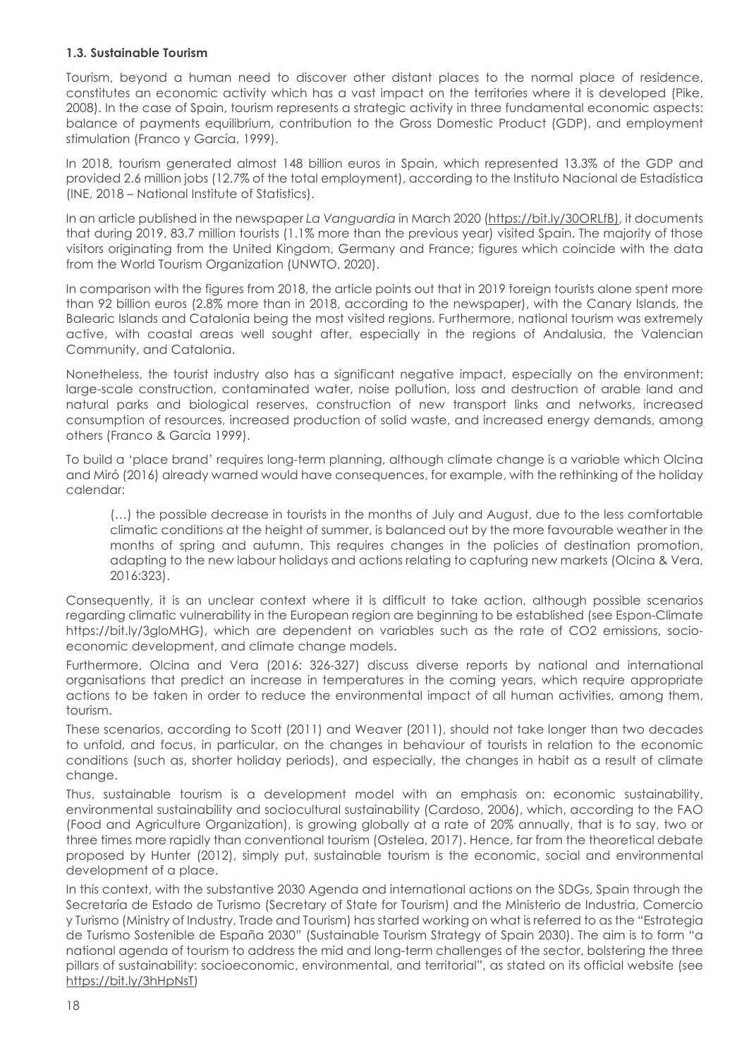# **1.3. Sustainable Tourism**

Tourism, beyond a human need to discover other distant places to the normal place of residence, constitutes an economic activity which has a vast impact on the territories where it is developed (Pike, 2008). In the case of Spain, tourism represents a strategic activity in three fundamental economic aspects: balance of payments equilibrium, contribution to the Gross Domestic Product (GDP), and employment stimulation (Franco y García, 1999).

In 2018, tourism generated almost 148 billion euros in Spain, which represented 13.3% of the GDP and provided 2.6 million jobs (12.7% of the total employment), according to the Instituto Nacional de Estadística (INE, 2018 – National Institute of Statistics).

In an article published in the newspaper *La Vanguardia* in March 2020 (https://bit.ly/30ORLfB), it documents that during 2019, 83.7 million tourists (1.1% more than the previous year) visited Spain. The majority of those visitors originating from the United Kingdom, Germany and France; figures which coincide with the data from the World Tourism Organization (UNWTO, 2020).

In comparison with the figures from 2018, the article points out that in 2019 foreign tourists alone spent more than 92 billion euros (2.8% more than in 2018, according to the newspaper), with the Canary Islands, the Balearic Islands and Catalonia being the most visited regions. Furthermore, national tourism was extremely active, with coastal areas well sought after, especially in the regions of Andalusia, the Valencian Community, and Catalonia.

Nonetheless, the tourist industry also has a significant negative impact, especially on the environment: large-scale construction, contaminated water, noise pollution, loss and destruction of arable land and natural parks and biological reserves, construction of new transport links and networks, increased consumption of resources, increased production of solid waste, and increased energy demands, among others (Franco & García 1999).

To build a 'place brand' requires long-term planning, although climate change is a variable which Olcina and Miró (2016) already warned would have consequences, for example, with the rethinking of the holiday calendar:

(…) the possible decrease in tourists in the months of July and August, due to the less comfortable climatic conditions at the height of summer, is balanced out by the more favourable weather in the months of spring and autumn. This requires changes in the policies of destination promotion, adapting to the new labour holidays and actions relating to capturing new markets (Olcina & Vera, 2016:323).

Consequently, it is an unclear context where it is difficult to take action, although possible scenarios regarding climatic vulnerability in the European region are beginning to be established (see Espon-Climate https://bit.ly/3gloMHG), which are dependent on variables such as the rate of CO2 emissions, socioeconomic development, and climate change models.

Furthermore, Olcina and Vera (2016: 326-327) discuss diverse reports by national and international organisations that predict an increase in temperatures in the coming years, which require appropriate actions to be taken in order to reduce the environmental impact of all human activities, among them, tourism.

These scenarios, according to Scott (2011) and Weaver (2011), should not take longer than two decades to unfold, and focus, in particular, on the changes in behaviour of tourists in relation to the economic conditions (such as, shorter holiday periods), and especially, the changes in habit as a result of climate change.

Thus, sustainable tourism is a development model with an emphasis on: economic sustainability, environmental sustainability and sociocultural sustainability (Cardoso, 2006), which, according to the FAO (Food and Agriculture Organization), is growing globally at a rate of 20% annually, that is to say, two or three times more rapidly than conventional tourism (Ostelea, 2017). Hence, far from the theoretical debate proposed by Hunter (2012), simply put, sustainable tourism is the economic, social and environmental development of a place.

In this context, with the substantive 2030 Agenda and international actions on the SDGs, Spain through the Secretaría de Estado de Turismo (Secretary of State for Tourism) and the Ministerio de Industria, Comercio y Turismo (Ministry of Industry, Trade and Tourism) has started working on what is referred to as the "Estrategia de Turismo Sostenible de España 2030" (Sustainable Tourism Strategy of Spain 2030). The aim is to form "a national agenda of tourism to address the mid and long-term challenges of the sector, bolstering the three pillars of sustainability: socioeconomic, environmental, and territorial", as stated on its official website (see https://bit.ly/3hHpNsT)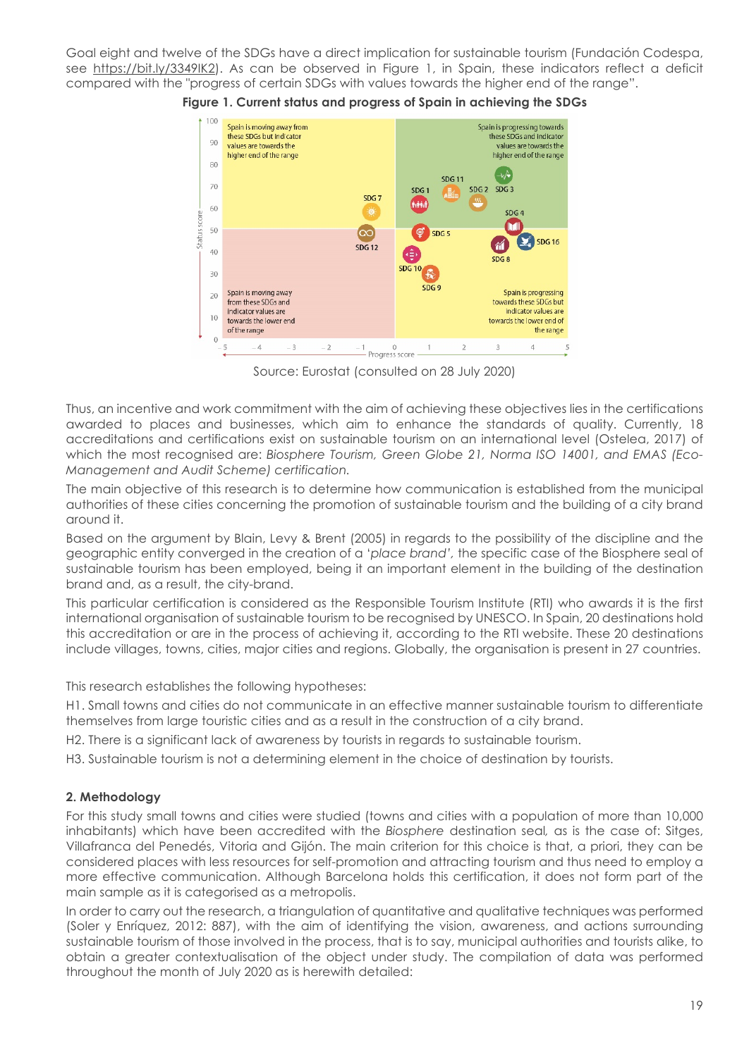Goal eight and twelve of the SDGs have a direct implication for sustainable tourism (Fundación Codespa, see https://bit.ly/3349IK2). As can be observed in Figure 1, in Spain, these indicators reflect a deficit compared with the "progress of certain SDGs with values towards the higher end of the range".



**Figure 1. Current status and progress of Spain in achieving the SDGs**

Source: Eurostat (consulted on 28 July 2020)

Thus, an incentive and work commitment with the aim of achieving these objectives lies in the certifications awarded to places and businesses, which aim to enhance the standards of quality. Currently, 18 accreditations and certifications exist on sustainable tourism on an international level (Ostelea, 2017) of which the most recognised are: *Biosphere Tourism, Green Globe 21, Norma ISO 14001, and EMAS (Eco-Management and Audit Scheme) certification.*

The main objective of this research is to determine how communication is established from the municipal authorities of these cities concerning the promotion of sustainable tourism and the building of a city brand around it.

Based on the argument by Blain, Levy & Brent (2005) in regards to the possibility of the discipline and the geographic entity converged in the creation of a '*place brand',* the specific case of the Biosphere seal of sustainable tourism has been employed, being it an important element in the building of the destination brand and, as a result, the city-brand.

This particular certification is considered as the Responsible Tourism Institute (RTI) who awards it is the first international organisation of sustainable tourism to be recognised by UNESCO. In Spain, 20 destinations hold this accreditation or are in the process of achieving it, according to the RTI website. These 20 destinations include villages, towns, cities, major cities and regions. Globally, the organisation is present in 27 countries.

This research establishes the following hypotheses:

H1. Small towns and cities do not communicate in an effective manner sustainable tourism to differentiate themselves from large touristic cities and as a result in the construction of a city brand.

H2. There is a significant lack of awareness by tourists in regards to sustainable tourism.

H3. Sustainable tourism is not a determining element in the choice of destination by tourists.

# **2. Methodology**

For this study small towns and cities were studied (towns and cities with a population of more than 10,000 inhabitants) which have been accredited with the *Biosphere* destination seal*,* as is the case of: Sitges, Villafranca del Penedés, Vitoria and Gijón. The main criterion for this choice is that, a priori, they can be considered places with less resources for self-promotion and attracting tourism and thus need to employ a more effective communication. Although Barcelona holds this certification, it does not form part of the main sample as it is categorised as a metropolis.

In order to carry out the research, a triangulation of quantitative and qualitative techniques was performed (Soler y Enríquez, 2012: 887), with the aim of identifying the vision, awareness, and actions surrounding sustainable tourism of those involved in the process, that is to say, municipal authorities and tourists alike, to obtain a greater contextualisation of the object under study. The compilation of data was performed throughout the month of July 2020 as is herewith detailed: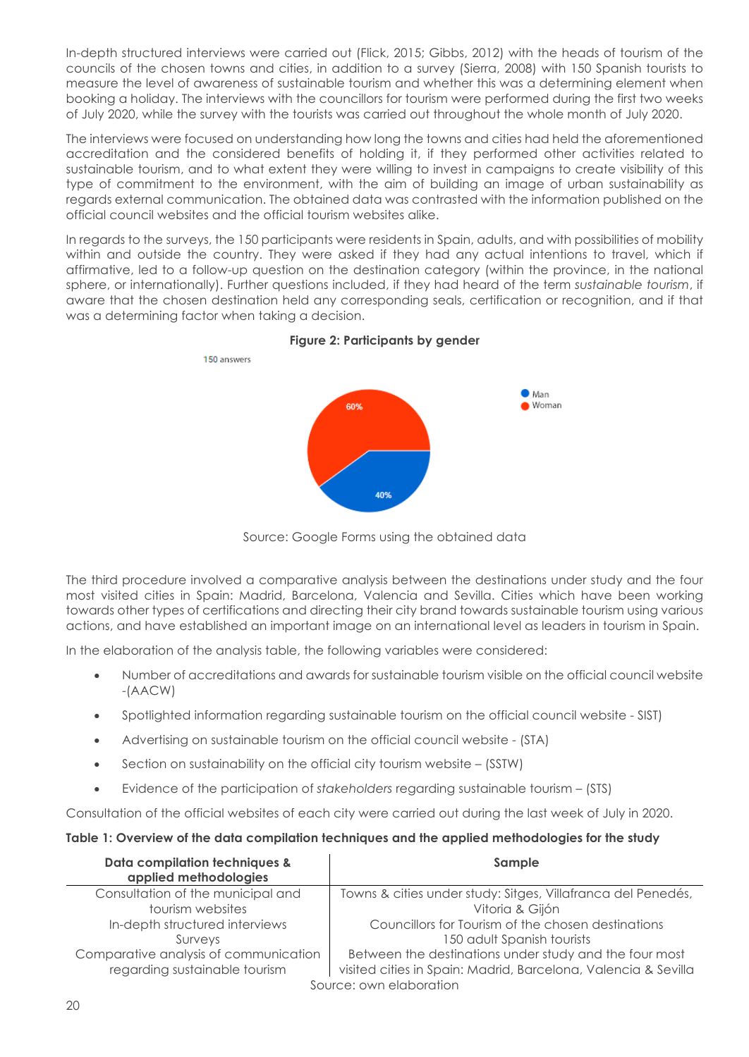In-depth structured interviews were carried out (Flick, 2015; Gibbs, 2012) with the heads of tourism of the councils of the chosen towns and cities, in addition to a survey (Sierra, 2008) with 150 Spanish tourists to measure the level of awareness of sustainable tourism and whether this was a determining element when booking a holiday. The interviews with the councillors for tourism were performed during the first two weeks of July 2020, while the survey with the tourists was carried out throughout the whole month of July 2020.

The interviews were focused on understanding how long the towns and cities had held the aforementioned accreditation and the considered benefits of holding it, if they performed other activities related to sustainable tourism, and to what extent they were willing to invest in campaigns to create visibility of this type of commitment to the environment, with the aim of building an image of urban sustainability as regards external communication. The obtained data was contrasted with the information published on the official council websites and the official tourism websites alike.

In regards to the surveys, the 150 participants were residents in Spain, adults, and with possibilities of mobility within and outside the country. They were asked if they had any actual intentions to travel, which if affirmative, led to a follow-up question on the destination category (within the province, in the national sphere, or internationally). Further questions included, if they had heard of the term *sustainable tourism*, if aware that the chosen destination held any corresponding seals, certification or recognition, and if that was a determining factor when taking a decision.



**Figure 2: Participants by gender**

Source: Google Forms using the obtained data

The third procedure involved a comparative analysis between the destinations under study and the four most visited cities in Spain: Madrid, Barcelona, Valencia and Sevilla. Cities which have been working towards other types of certifications and directing their city brand towards sustainable tourism using various actions, and have established an important image on an international level as leaders in tourism in Spain.

In the elaboration of the analysis table, the following variables were considered:

- Number of accreditations and awards for sustainable tourism visible on the official council website -(AACW)
- Spotlighted information regarding sustainable tourism on the official council website SIST)
- Advertising on sustainable tourism on the official council website (STA)
- Section on sustainability on the official city tourism website (SSTW)
- Evidence of the participation of *stakeholders* regarding sustainable tourism (STS)

Consultation of the official websites of each city were carried out during the last week of July in 2020.

# **Table 1: Overview of the data compilation techniques and the applied methodologies for the study**

| Data compilation techniques &<br>applied methodologies | Sample                                                         |  |  |  |
|--------------------------------------------------------|----------------------------------------------------------------|--|--|--|
| Consultation of the municipal and                      | Towns & cities under study: Sitges, Villafranca del Penedés,   |  |  |  |
| tourism websites                                       | Vitoria & Gijón                                                |  |  |  |
| In-depth structured interviews                         | Councillors for Tourism of the chosen destinations             |  |  |  |
| Surveys                                                | 150 adult Spanish tourists                                     |  |  |  |
| Comparative analysis of communication                  | Between the destinations under study and the four most         |  |  |  |
| regarding sustainable tourism                          | visited cities in Spain: Madrid, Barcelona, Valencia & Sevilla |  |  |  |
| Source: own elaboration                                |                                                                |  |  |  |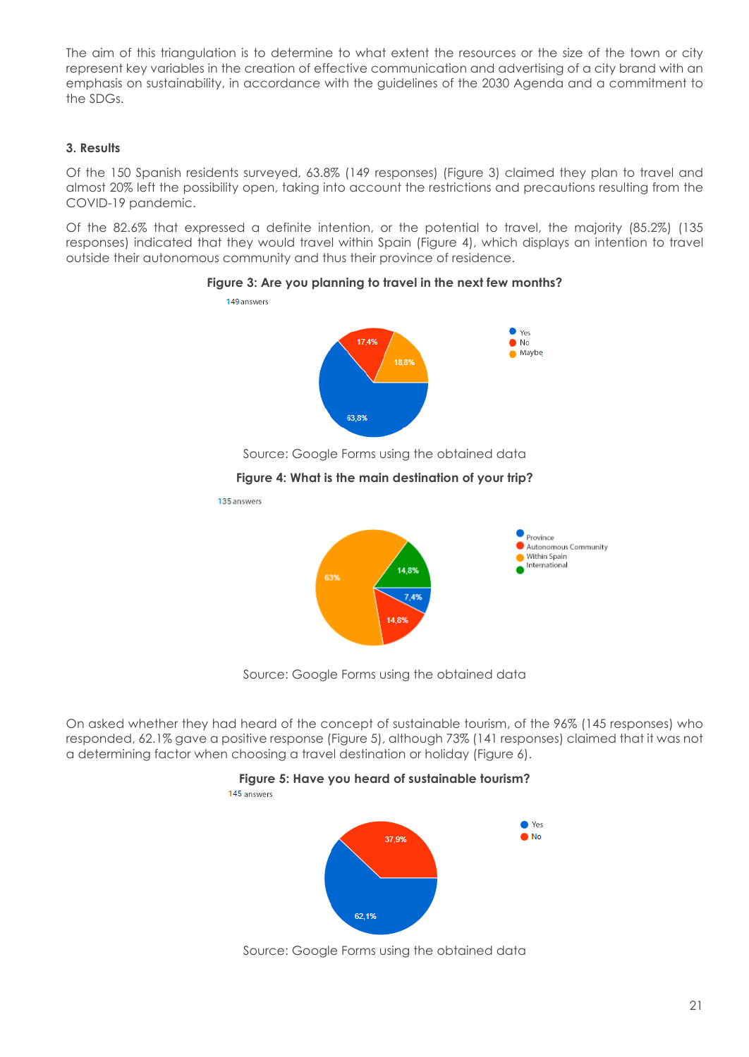The aim of this triangulation is to determine to what extent the resources or the size of the town or city represent key variables in the creation of effective communication and advertising of a city brand with an emphasis on sustainability, in accordance with the guidelines of the 2030 Agenda and a commitment to the SDGs.

### **3. Results**

Of the 150 Spanish residents surveyed, 63.8% (149 responses) (Figure 3) claimed they plan to travel and almost 20% left the possibility open, taking into account the restrictions and precautions resulting from the COVID-19 pandemic.

Of the 82.6% that expressed a definite intention, or the potential to travel, the majority (85.2%) (135 responses) indicated that they would travel within Spain (Figure 4), which displays an intention to travel outside their autonomous community and thus their province of residence.



#### **Figure 3: Are you planning to travel in the next few months?**

Source: Google Forms using the obtained data

# **Figure 4: What is the main destination of your trip?**

135 answers



Source: Google Forms using the obtained data

On asked whether they had heard of the concept of sustainable tourism, of the 96% (145 responses) who responded, 62.1% gave a positive response (Figure 5), although 73% (141 responses) claimed that it was not a determining factor when choosing a travel destination or holiday (Figure 6).



Source: Google Forms using the obtained data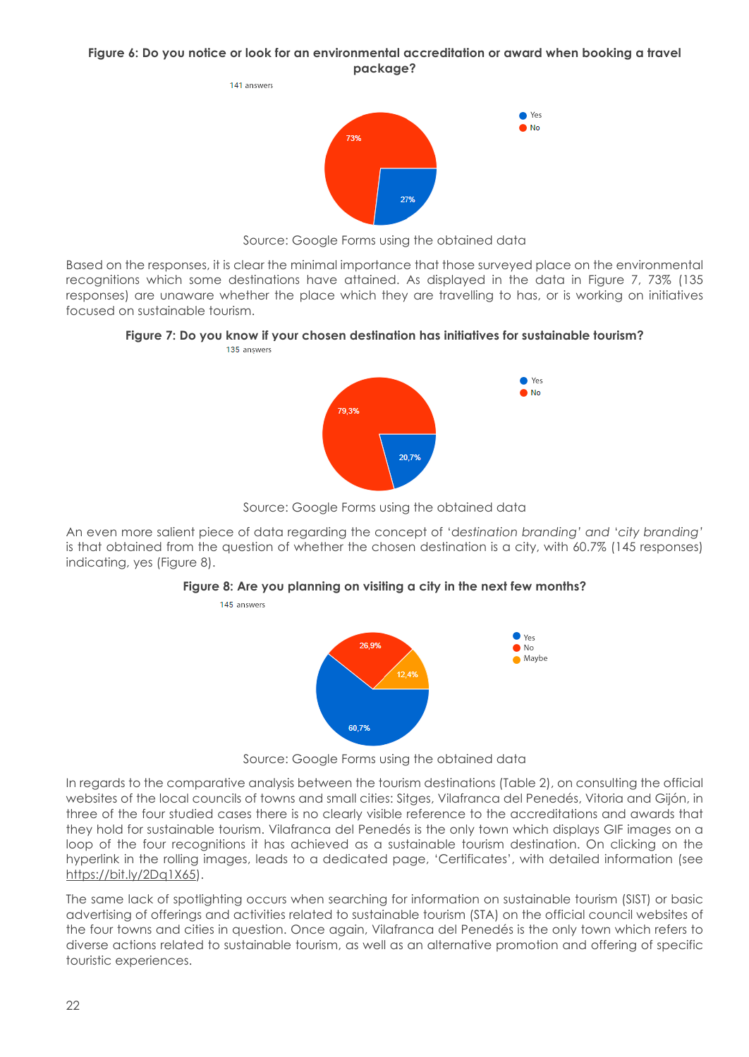#### **Figure 6: Do you notice or look for an environmental accreditation or award when booking a travel package?**



Source: Google Forms using the obtained data

Based on the responses, it is clear the minimal importance that those surveyed place on the environmental recognitions which some destinations have attained. As displayed in the data in Figure 7, 73% (135 responses) are unaware whether the place which they are travelling to has, or is working on initiatives focused on sustainable tourism.

# **Figure 7: Do you know if your chosen destination has initiatives for sustainable tourism?**



Source: Google Forms using the obtained data

An even more salient piece of data regarding the concept of 'd*estination branding' and* '*city branding'*  is that obtained from the question of whether the chosen destination is a city, with 60.7% (145 responses) indicating, yes (Figure 8).

#### **Figure 8: Are you planning on visiting a city in the next few months?**

145 answers



Source: Google Forms using the obtained data

In regards to the comparative analysis between the tourism destinations (Table 2), on consulting the official websites of the local councils of towns and small cities: Sitges, Vilafranca del Penedés, Vitoria and Gijón, in three of the four studied cases there is no clearly visible reference to the accreditations and awards that they hold for sustainable tourism. Vilafranca del Penedés is the only town which displays GIF images on a loop of the four recognitions it has achieved as a sustainable tourism destination. On clicking on the hyperlink in the rolling images, leads to a dedicated page, 'Certificates', with detailed information (see https://bit.ly/2Dq1X65).

The same lack of spotlighting occurs when searching for information on sustainable tourism (SIST) or basic advertising of offerings and activities related to sustainable tourism (STA) on the official council websites of the four towns and cities in question. Once again, Vilafranca del Penedés is the only town which refers to diverse actions related to sustainable tourism, as well as an alternative promotion and offering of specific touristic experiences.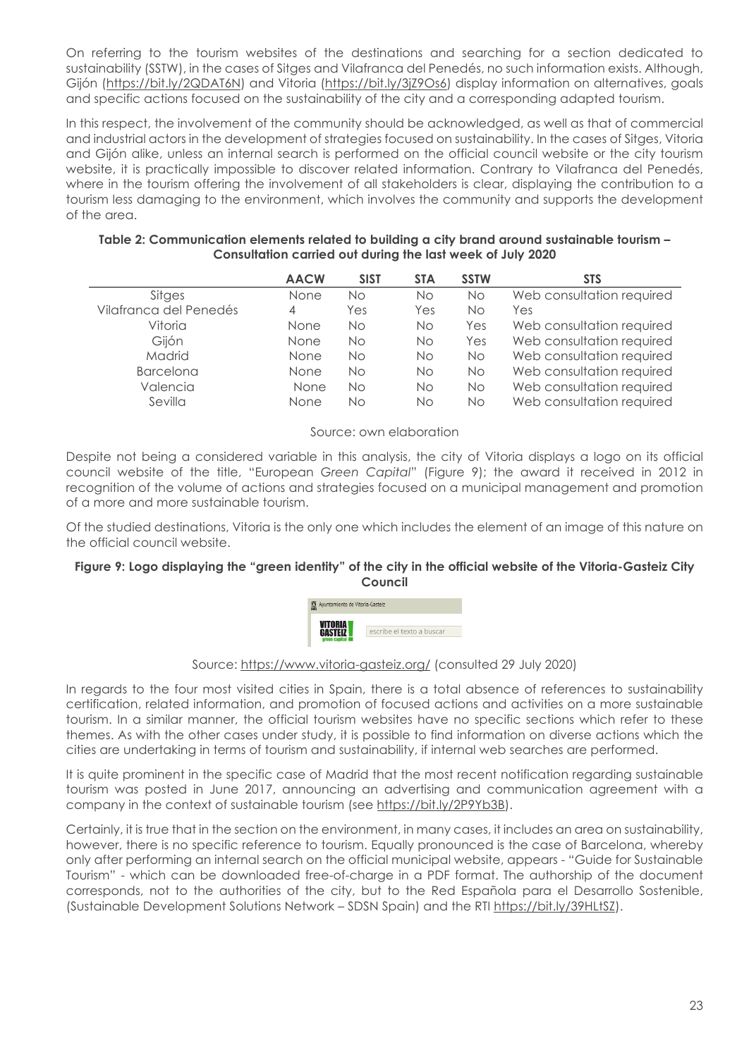On referring to the tourism websites of the destinations and searching for a section dedicated to sustainability (SSTW), in the cases of Sitges and Vilafranca del Penedés, no such information exists. Although, Gijón (https://bit.ly/2QDAT6N) and Vitoria (https://bit.ly/3jZ9Os6) display information on alternatives, goals and specific actions focused on the sustainability of the city and a corresponding adapted tourism.

In this respect, the involvement of the community should be acknowledged, as well as that of commercial and industrial actors in the development of strategies focused on sustainability. In the cases of Sitges, Vitoria and Gijón alike, unless an internal search is performed on the official council website or the city tourism website, it is practically impossible to discover related information. Contrary to Vilafranca del Penedés, where in the tourism offering the involvement of all stakeholders is clear, displaying the contribution to a tourism less damaging to the environment, which involves the community and supports the development of the area.

| Table 2: Communication elements related to building a city brand around sustainable tourism - |
|-----------------------------------------------------------------------------------------------|
| Consultation carried out during the last week of July 2020                                    |

|                        | <b>AACW</b> | <b>SIST</b> | <b>STA</b> | <b>SSTW</b> | <b>STS</b>                |
|------------------------|-------------|-------------|------------|-------------|---------------------------|
| Sitges                 | None        | Νo          | Νo         | No.         | Web consultation required |
| Vilafranca del Penedés | 4           | Yes         | Yes        | No.         | Yes                       |
| Vitoria                | None        | Νo          | No.        | Yes         | Web consultation required |
| Giión                  | None        | Νo          | No.        | Yes         | Web consultation required |
| Madrid                 | None        | Νo          | No.        | No.         | Web consultation required |
| <b>Barcelona</b>       | None        | Νo          | No.        | No.         | Web consultation required |
| Valencia               | None        | Νo          | Νo         | No.         | Web consultation required |
| Sevilla                | None        | Nο          | Νo         | No.         | Web consultation required |

#### Source: own elaboration

Despite not being a considered variable in this analysis, the city of Vitoria displays a logo on its official council website of the title, "European *Green Capital*" (Figure 9); the award it received in 2012 in recognition of the volume of actions and strategies focused on a municipal management and promotion of a more and more sustainable tourism.

Of the studied destinations, Vitoria is the only one which includes the element of an image of this nature on the official council website.

### **Figure 9: Logo displaying the "green identity" of the city in the official website of the Vitoria-Gasteiz City Council**



# Source: https://www.vitoria-gasteiz.org/ (consulted 29 July 2020)

In regards to the four most visited cities in Spain, there is a total absence of references to sustainability certification, related information, and promotion of focused actions and activities on a more sustainable tourism. In a similar manner, the official tourism websites have no specific sections which refer to these themes. As with the other cases under study, it is possible to find information on diverse actions which the cities are undertaking in terms of tourism and sustainability, if internal web searches are performed.

It is quite prominent in the specific case of Madrid that the most recent notification regarding sustainable tourism was posted in June 2017, announcing an advertising and communication agreement with a company in the context of sustainable tourism (see https://bit.ly/2P9Yb3B).

Certainly, it is true that in the section on the environment, in many cases, it includes an area on sustainability, however, there is no specific reference to tourism. Equally pronounced is the case of Barcelona, whereby only after performing an internal search on the official municipal website, appears - "Guide for Sustainable Tourism" - which can be downloaded free-of-charge in a PDF format. The authorship of the document corresponds, not to the authorities of the city, but to the Red Española para el Desarrollo Sostenible, (Sustainable Development Solutions Network – SDSN Spain) and the RTI https://bit.ly/39HLtSZ).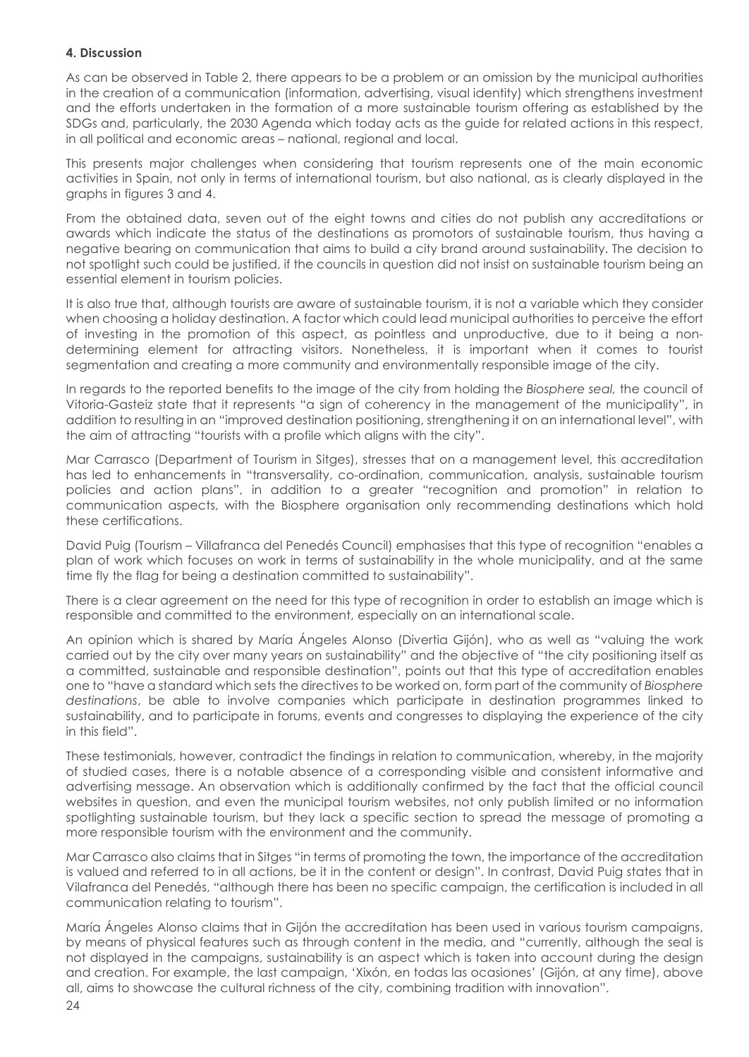# **4. Discussion**

As can be observed in Table 2, there appears to be a problem or an omission by the municipal authorities in the creation of a communication (information, advertising, visual identity) which strengthens investment and the efforts undertaken in the formation of a more sustainable tourism offering as established by the SDGs and, particularly, the 2030 Agenda which today acts as the guide for related actions in this respect, in all political and economic areas – national, regional and local.

This presents major challenges when considering that tourism represents one of the main economic activities in Spain, not only in terms of international tourism, but also national, as is clearly displayed in the graphs in figures 3 and 4.

From the obtained data, seven out of the eight towns and cities do not publish any accreditations or awards which indicate the status of the destinations as promotors of sustainable tourism, thus having a negative bearing on communication that aims to build a city brand around sustainability. The decision to not spotlight such could be justified, if the councils in question did not insist on sustainable tourism being an essential element in tourism policies.

It is also true that, although tourists are aware of sustainable tourism, it is not a variable which they consider when choosing a holiday destination. A factor which could lead municipal authorities to perceive the effort of investing in the promotion of this aspect, as pointless and unproductive, due to it being a nondetermining element for attracting visitors. Nonetheless, it is important when it comes to tourist segmentation and creating a more community and environmentally responsible image of the city.

In regards to the reported benefits to the image of the city from holding the *Biosphere seal,* the council of Vitoria-Gasteiz state that it represents "a sign of coherency in the management of the municipality", in addition to resulting in an "improved destination positioning, strengthening it on an international level", with the aim of attracting "tourists with a profile which aligns with the city".

Mar Carrasco (Department of Tourism in Sitges), stresses that on a management level, this accreditation has led to enhancements in "transversality, co-ordination, communication, analysis, sustainable tourism policies and action plans", in addition to a greater "recognition and promotion" in relation to communication aspects, with the Biosphere organisation only recommending destinations which hold these certifications.

David Puig (Tourism – Villafranca del Penedés Council) emphasises that this type of recognition "enables a plan of work which focuses on work in terms of sustainability in the whole municipality, and at the same time fly the flag for being a destination committed to sustainability".

There is a clear agreement on the need for this type of recognition in order to establish an image which is responsible and committed to the environment, especially on an international scale.

An opinion which is shared by María Ángeles Alonso (Divertia Gijón), who as well as "valuing the work carried out by the city over many years on sustainability" and the objective of "the city positioning itself as a committed, sustainable and responsible destination", points out that this type of accreditation enables one to "have a standard which sets the directives to be worked on, form part of the community of *Biosphere destinations*, be able to involve companies which participate in destination programmes linked to sustainability, and to participate in forums, events and congresses to displaying the experience of the city in this field".

These testimonials, however, contradict the findings in relation to communication, whereby, in the majority of studied cases, there is a notable absence of a corresponding visible and consistent informative and advertising message. An observation which is additionally confirmed by the fact that the official council websites in question, and even the municipal tourism websites, not only publish limited or no information spotlighting sustainable tourism, but they lack a specific section to spread the message of promoting a more responsible tourism with the environment and the community.

Mar Carrasco also claims that in Sitges "in terms of promoting the town, the importance of the accreditation is valued and referred to in all actions, be it in the content or design". In contrast, David Puig states that in Vilafranca del Penedés, "although there has been no specific campaign, the certification is included in all communication relating to tourism".

María Ángeles Alonso claims that in Gijón the accreditation has been used in various tourism campaigns, by means of physical features such as through content in the media, and "currently, although the seal is not displayed in the campaigns, sustainability is an aspect which is taken into account during the design and creation. For example, the last campaign, 'Xixón, en todas las ocasiones' (Gijón, at any time), above all, aims to showcase the cultural richness of the city, combining tradition with innovation".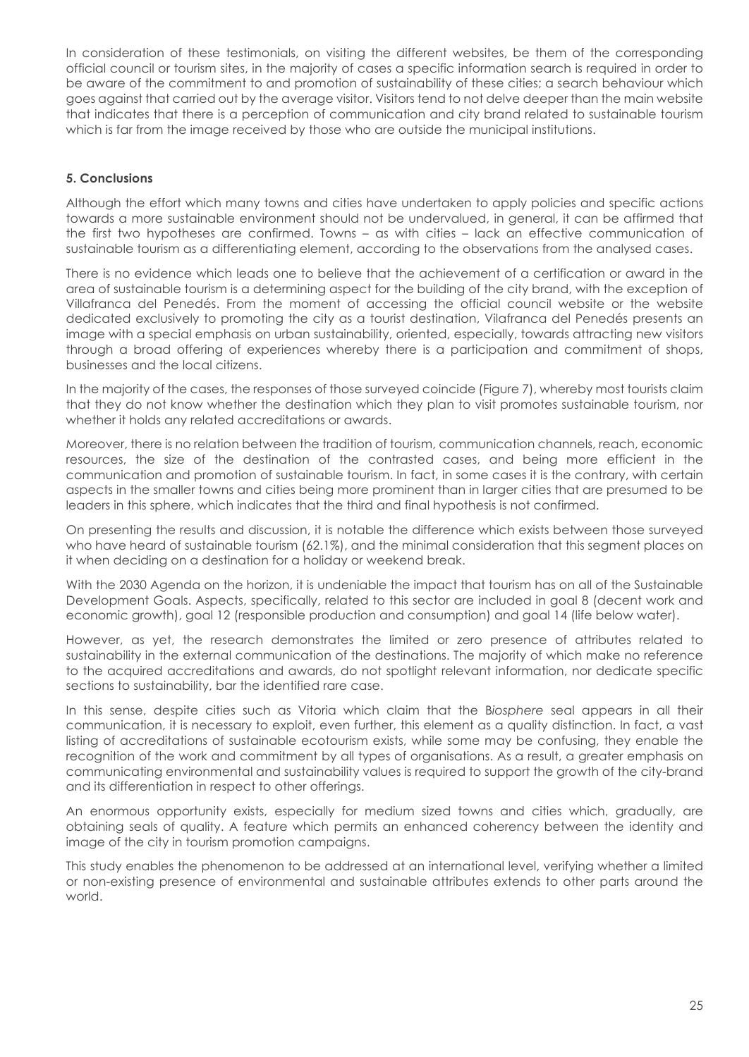In consideration of these testimonials, on visiting the different websites, be them of the corresponding official council or tourism sites, in the majority of cases a specific information search is required in order to be aware of the commitment to and promotion of sustainability of these cities; a search behaviour which goes against that carried out by the average visitor. Visitors tend to not delve deeper than the main website that indicates that there is a perception of communication and city brand related to sustainable tourism which is far from the image received by those who are outside the municipal institutions.

# **5. Conclusions**

Although the effort which many towns and cities have undertaken to apply policies and specific actions towards a more sustainable environment should not be undervalued, in general, it can be affirmed that the first two hypotheses are confirmed. Towns – as with cities – lack an effective communication of sustainable tourism as a differentiating element, according to the observations from the analysed cases.

There is no evidence which leads one to believe that the achievement of a certification or award in the area of sustainable tourism is a determining aspect for the building of the city brand, with the exception of Villafranca del Penedés. From the moment of accessing the official council website or the website dedicated exclusively to promoting the city as a tourist destination, Vilafranca del Penedés presents an image with a special emphasis on urban sustainability, oriented, especially, towards attracting new visitors through a broad offering of experiences whereby there is a participation and commitment of shops, businesses and the local citizens.

In the majority of the cases, the responses of those surveyed coincide (Figure 7), whereby most tourists claim that they do not know whether the destination which they plan to visit promotes sustainable tourism, nor whether it holds any related accreditations or awards.

Moreover, there is no relation between the tradition of tourism, communication channels, reach, economic resources, the size of the destination of the contrasted cases, and being more efficient in the communication and promotion of sustainable tourism. In fact, in some cases it is the contrary, with certain aspects in the smaller towns and cities being more prominent than in larger cities that are presumed to be leaders in this sphere, which indicates that the third and final hypothesis is not confirmed.

On presenting the results and discussion, it is notable the difference which exists between those surveyed who have heard of sustainable tourism (62.1%), and the minimal consideration that this segment places on it when deciding on a destination for a holiday or weekend break.

With the 2030 Agenda on the horizon, it is undeniable the impact that tourism has on all of the Sustainable Development Goals. Aspects, specifically, related to this sector are included in goal 8 (decent work and economic growth), goal 12 (responsible production and consumption) and goal 14 (life below water).

However, as yet, the research demonstrates the limited or zero presence of attributes related to sustainability in the external communication of the destinations. The majority of which make no reference to the acquired accreditations and awards, do not spotlight relevant information, nor dedicate specific sections to sustainability, bar the identified rare case.

In this sense, despite cities such as Vitoria which claim that the B*iosphere* seal appears in all their communication, it is necessary to exploit, even further, this element as a quality distinction. In fact, a vast listing of accreditations of sustainable ecotourism exists, while some may be confusing, they enable the recognition of the work and commitment by all types of organisations. As a result, a greater emphasis on communicating environmental and sustainability values is required to support the growth of the city-brand and its differentiation in respect to other offerings.

An enormous opportunity exists, especially for medium sized towns and cities which, gradually, are obtaining seals of quality. A feature which permits an enhanced coherency between the identity and image of the city in tourism promotion campaigns.

This study enables the phenomenon to be addressed at an international level, verifying whether a limited or non-existing presence of environmental and sustainable attributes extends to other parts around the world.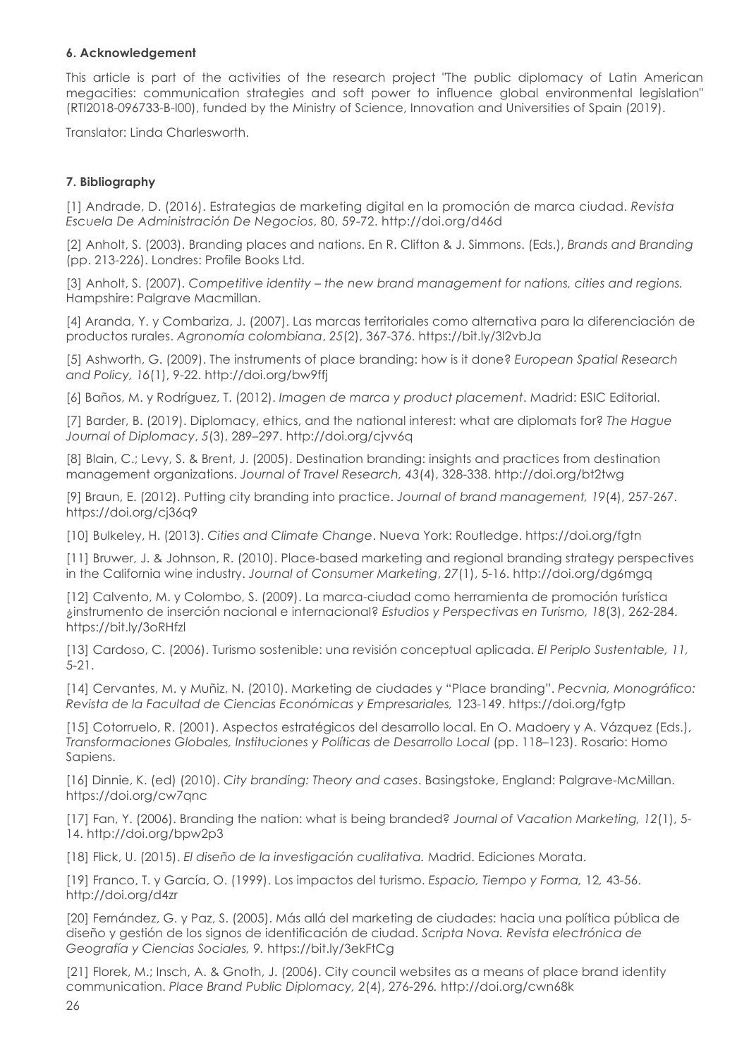# **6. Acknowledgement**

This article is part of the activities of the research project "The public diplomacy of Latin American megacities: communication strategies and soft power to influence global environmental legislation" (RTI2018-096733-B-I00), funded by the Ministry of Science, Innovation and Universities of Spain (2019).

Translator: Linda Charlesworth.

# **7. Bibliography**

[1] Andrade, D. (2016). Estrategias de marketing digital en la promoción de marca ciudad. *Revista Escuela De Administración De Negocios*, 80, 59-72. http://doi.org/d46d

[2] Anholt, S. (2003). Branding places and nations. En R. Clifton & J. Simmons. (Eds.), *Brands and Branding*  (pp. 213-226). Londres: Profile Books Ltd.

[3] Anholt, S. (2007). *Competitive identity – the new brand management for nations, cities and regions.*  Hampshire: Palgrave Macmillan.

[4] Aranda, Y. y Combariza, J. (2007). Las marcas territoriales como alternativa para la diferenciación de productos rurales. *Agronomía colombiana*, *25*(2), 367-376. https://bit.ly/3l2vbJa

[5] Ashworth, G. (2009). The instruments of place branding: how is it done? *European Spatial Research and Policy, 16*(1), 9-22. http://doi.org/bw9ffj

[6] Baños, M. y Rodríguez, T. (2012). *Imagen de marca y product placement*. Madrid: ESIC Editorial.

[7] Barder, B. (2019). Diplomacy, ethics, and the national interest: what are diplomats for? *The Hague Journal of Diplomacy*, *5*(3), 289–297. http://doi.org/cjvv6q

[8] Blain, C.; Levy, S. & Brent, J. (2005). Destination branding: insights and practices from destination management organizations. *Journal of Travel Research, 43*(4), 328-338. http://doi.org/bt2twg

[9] Braun, E. (2012). Putting city branding into practice. *Journal of brand management, 19*(4), 257-267. https://doi.org/cj36q9

[10] Bulkeley, H. (2013). *Cities and Climate Change*. Nueva York: Routledge. https://doi.org/fgtn

[11] Bruwer, J. & Johnson, R. (2010). Place-based marketing and regional branding strategy perspectives in the California wine industry. *Journal of Consumer Marketing*, *27*(1), 5-16. http://doi.org/dg6mgq

[12] Calvento, M. y Colombo, S. (2009). La marca-ciudad como herramienta de promoción turística ¿instrumento de inserción nacional e internacional? *Estudios y Perspectivas en Turismo, 18*(3), 262-284. https://bit.ly/3oRHfzl

[13] Cardoso, C. (2006). Turismo sostenible: una revisión conceptual aplicada. *El Periplo Sustentable, 11,*  5-21.

[14] Cervantes, M. y Muñiz, N. (2010). Marketing de ciudades y "Place branding". *Pecvnia, Monográfico: Revista de la Facultad de Ciencias Económicas y Empresariales,* 123-149. https://doi.org/fgtp

[15] Cotorruelo, R. (2001). Aspectos estratégicos del desarrollo local. En O. Madoery y A. Vázquez (Eds.), *Transformaciones Globales, Instituciones y Políticas de Desarrollo Local* (pp. 118–123). Rosario: Homo Sapiens.

[16] Dinnie, K. (ed) (2010). *City branding: Theory and cases*. Basingstoke, England: Palgrave-McMillan. https://doi.org/cw7qnc

[17] Fan, Y. (2006). Branding the nation: what is being branded? *Journal of Vacation Marketing, 12*(1), 5- 14. http://doi.org/bpw2p3

[18] Flick, U. (2015). *El diseño de la investigación cualitativa.* Madrid. Ediciones Morata.

[19] Franco, T. y García, O. (1999). Los impactos del turismo. *Espacio, Tiempo y Forma,* 12*,* 43-56. http://doi.org/d4zr

[20] Fernández, G. y Paz, S. (2005). Más allá del marketing de ciudades: hacia una política pública de diseño y gestión de los signos de identificación de ciudad. *Scripta Nova. Revista electrónica de Geografía y Ciencias Sociales, 9.* https://bit.ly/3ekFtCg

[21] Florek, M.; Insch, A. & Gnoth, J. (2006). City council websites as a means of place brand identity communication. *Place Brand Public Diplomacy, 2*(4), 276-296*.* http://doi.org/cwn68k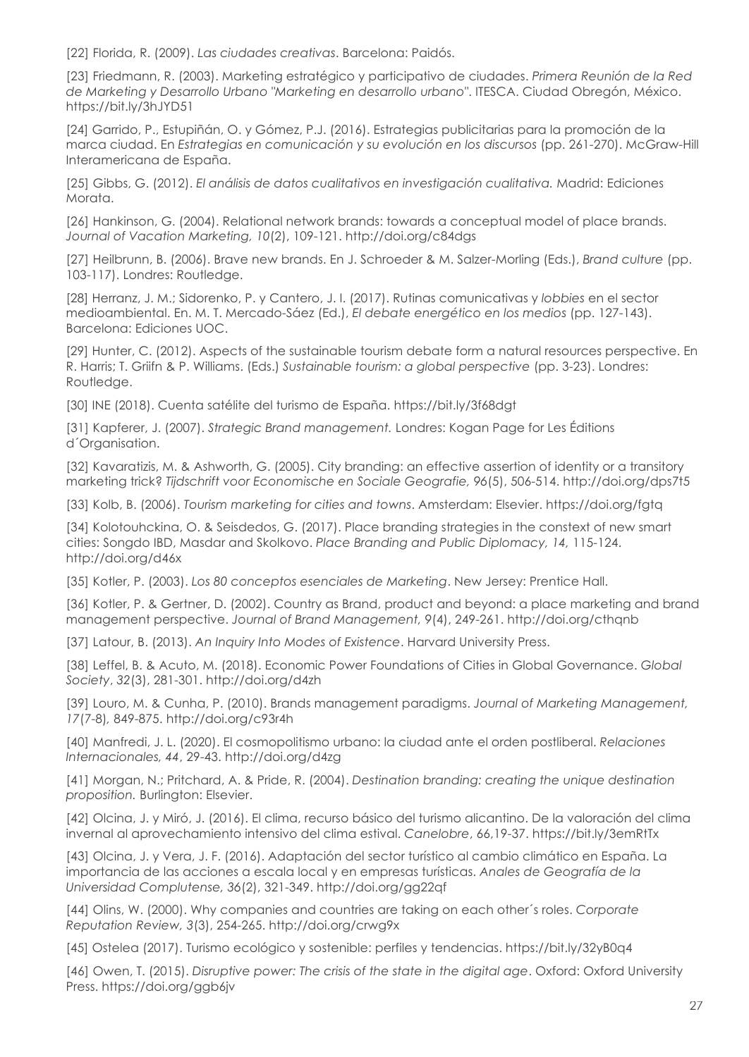[22] Florida, R. (2009). *Las ciudades creativas*. Barcelona: Paidós.

[23] Friedmann, R. (2003). Marketing estratégico y participativo de ciudades. *Primera Reunión de la Red de Marketing y Desarrollo Urbano "Marketing en desarrollo urbano"*. ITESCA. Ciudad Obregón, México. https://bit.ly/3hJYD51

[24] Garrido, P., Estupiñán, O. y Gómez, P.J. (2016). Estrategias publicitarias para la promoción de la marca ciudad. En *Estrategias en comunicación y su evolución en los discursos* (pp. 261-270). McGraw-Hill Interamericana de España.

[25] Gibbs, G. (2012). *El análisis de datos cualitativos en investigación cualitativa.* Madrid: Ediciones Morata.

[26] Hankinson, G. (2004). Relational network brands: towards a conceptual model of place brands. *Journal of Vacation Marketing, 10*(2), 109-121. http://doi.org/c84dgs

[27] Heilbrunn, B. (2006). Brave new brands. En J. Schroeder & M. Salzer-Morling (Eds.), *Brand culture* (pp. 103-117). Londres: Routledge.

[28] Herranz, J. M.; Sidorenko, P. y Cantero, J. I. (2017). Rutinas comunicativas y *lobbies* en el sector medioambiental. En. M. T. Mercado-Sáez (Ed.), *El debate energético en los medios* (pp. 127-143). Barcelona: Ediciones UOC.

[29] Hunter, C. (2012). Aspects of the sustainable tourism debate form a natural resources perspective. En R. Harris; T. Griifn & P. Williams. (Eds.) *Sustainable tourism: a global perspective* (pp. 3-23). Londres: Routledge.

[30] INE (2018). Cuenta satélite del turismo de España. https://bit.ly/3f68dgt

[31] Kapferer, J. (2007). *Strategic Brand management.* Londres: Kogan Page for Les Éditions d´Organisation.

[32] Kavaratizis, M. & Ashworth, G. (2005). City branding: an effective assertion of identity or a transitory marketing trick? *Tijdschrift voor Economische en Sociale Geografie, 96*(5), 506-514. http://doi.org/dps7t5

[33] Kolb, B. (2006). *Tourism marketing for cities and towns*. Amsterdam: Elsevier. https://doi.org/fgtq

[34] Kolotouhckina, O. & Seisdedos, G. (2017). Place branding strategies in the constext of new smart cities: Songdo IBD, Masdar and Skolkovo. *Place Branding and Public Diplomacy, 14,* 115-124. http://doi.org/d46x

[35] Kotler, P. (2003). *Los 80 conceptos esenciales de Marketing*. New Jersey: Prentice Hall.

[36] Kotler, P. & Gertner, D. (2002). Country as Brand, product and beyond: a place marketing and brand management perspective. *Journal of Brand Management, 9*(4), 249-261. http://doi.org/cthqnb

[37] Latour, B. (2013). *An Inquiry Into Modes of Existence*. Harvard University Press.

[38] Leffel, B. & Acuto, M. (2018). Economic Power Foundations of Cities in Global Governance. *Global Society*, *32*(3), 281-301. http://doi.org/d4zh

[39] Louro, M. & Cunha, P. (2010). Brands management paradigms. *Journal of Marketing Management, 17*(7-8)*,* 849-875. http://doi.org/c93r4h

[40] Manfredi, J. L. (2020). El cosmopolitismo urbano: la ciudad ante el orden postliberal. *Relaciones Internacionales, 44*, 29-43. http://doi.org/d4zg

[41] Morgan, N.; Pritchard, A. & Pride, R. (2004). *Destination branding: creating the unique destination proposition.* Burlington: Elsevier.

[42] Olcina, J. y Miró, J. (2016). El clima, recurso básico del turismo alicantino. De la valoración del clima invernal al aprovechamiento intensivo del clima estival. *Canelobre*, 66,19-37. https://bit.ly/3emRtTx

[43] Olcina, J. y Vera, J. F. (2016). Adaptación del sector turístico al cambio climático en España. La importancia de las acciones a escala local y en empresas turísticas. *Anales de Geografía de la Universidad Complutense, 36*(2), 321-349. http://doi.org/gg22qf

[44] Olins, W. (2000). Why companies and countries are taking on each other´s roles. *Corporate Reputation Review, 3*(3), 254-265. http://doi.org/crwg9x

[45] Ostelea (2017). Turismo ecológico y sostenible: perfiles y tendencias. https://bit.ly/32yB0q4

[46] Owen, T. (2015). *Disruptive power: The crisis of the state in the digital age*. Oxford: Oxford University Press. https://doi.org/ggb6jv